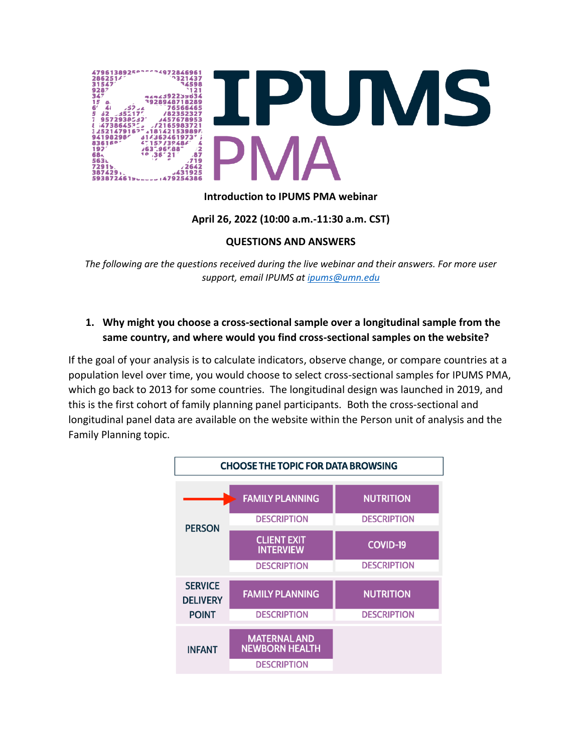

### **Introduction to IPUMS PMA webinar**

### **April 26, 2022 (10:00 a.m.-11:30 a.m. CST)**

#### **QUESTIONS AND ANSWERS**

*The following are the questions received during the live webinar and their answers. For more user support, email IPUMS a[t ipums@umn.edu](mailto:ipums@umn.edu)*

## **1. Why might you choose a cross-sectional sample over a longitudinal sample from the same country, and where would you find cross-sectional samples on the website?**

If the goal of your analysis is to calculate indicators, observe change, or compare countries at a population level over time, you would choose to select cross-sectional samples for IPUMS PMA, which go back to 2013 for some countries. The longitudinal design was launched in 2019, and this is the first cohort of family planning panel participants. Both the cross-sectional and longitudinal panel data are available on the website within the Person unit of analysis and the Family Planning topic.

|                                                   | <b>CHOOSE THE TOPIC FOR DATA BROWSING</b>                          |                                        |
|---------------------------------------------------|--------------------------------------------------------------------|----------------------------------------|
|                                                   | <b>FAMILY PLANNING</b><br><b>DESCRIPTION</b>                       | <b>NUTRITION</b><br><b>DESCRIPTION</b> |
| <b>PERSON</b>                                     | <b>CLIENT EXIT</b><br><b>INTERVIEW</b><br><b>DESCRIPTION</b>       | <b>COVID-19</b><br><b>DESCRIPTION</b>  |
| <b>SERVICE</b><br><b>DELIVERY</b><br><b>POINT</b> | <b>FAMILY PLANNING</b><br><b>DESCRIPTION</b>                       | <b>NUTRITION</b><br><b>DESCRIPTION</b> |
| <b>INFANT</b>                                     | <b>MATERNAL AND</b><br><b>NEWBORN HEALTH</b><br><b>DESCRIPTION</b> |                                        |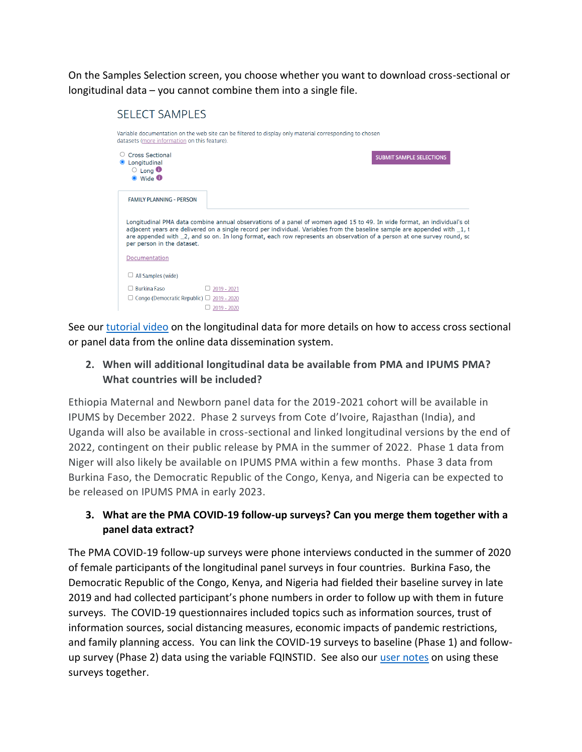On the Samples Selection screen, you choose whether you want to download cross-sectional or longitudinal data – you cannot combine them into a single file.

# **SELECT SAMPLES**

| datasets (more information on this feature).<br>○ Cross Sectional<br>Longitudinal<br>$\circ$ Long $\bullet$<br>$\bullet$ Wide $\bullet$ | <b>SUBMIT SAMPLE SELECTIONS</b>                                                                                                                                                                                                                                                                                                                                                |
|-----------------------------------------------------------------------------------------------------------------------------------------|--------------------------------------------------------------------------------------------------------------------------------------------------------------------------------------------------------------------------------------------------------------------------------------------------------------------------------------------------------------------------------|
| <b>FAMILY PLANNING - PERSON</b>                                                                                                         |                                                                                                                                                                                                                                                                                                                                                                                |
|                                                                                                                                         |                                                                                                                                                                                                                                                                                                                                                                                |
| per person in the dataset.                                                                                                              | Longitudinal PMA data combine annual observations of a panel of women aged 15 to 49. In wide format, an individual's ot<br>adjacent years are delivered on a single record per individual. Variables from the baseline sample are appended with 1, t<br>are appended with 2, and so on. In long format, each row represents an observation of a person at one survey round, so |
| Documentation                                                                                                                           |                                                                                                                                                                                                                                                                                                                                                                                |
| $\Box$ All Samples (wide)                                                                                                               |                                                                                                                                                                                                                                                                                                                                                                                |

See ou[r tutorial video](https://youtu.be/VwjYHDvpHk0) on the longitudinal data for more details on how to access cross sectional or panel data from the online data dissemination system.

## **2. When will additional longitudinal data be available from PMA and IPUMS PMA? What countries will be included?**

Ethiopia Maternal and Newborn panel data for the 2019-2021 cohort will be available in IPUMS by December 2022. Phase 2 surveys from Cote d'Ivoire, Rajasthan (India), and Uganda will also be available in cross-sectional and linked longitudinal versions by the end of 2022, contingent on their public release by PMA in the summer of 2022. Phase 1 data from Niger will also likely be available on IPUMS PMA within a few months. Phase 3 data from Burkina Faso, the Democratic Republic of the Congo, Kenya, and Nigeria can be expected to be released on IPUMS PMA in early 2023.

## **3. What are the PMA COVID-19 follow-up surveys? Can you merge them together with a panel data extract?**

The PMA COVID-19 follow-up surveys were phone interviews conducted in the summer of 2020 of female participants of the longitudinal panel surveys in four countries. Burkina Faso, the Democratic Republic of the Congo, Kenya, and Nigeria had fielded their baseline survey in late 2019 and had collected participant's phone numbers in order to follow up with them in future surveys. The COVID-19 questionnaires included topics such as information sources, trust of information sources, social distancing measures, economic impacts of pandemic restrictions, and family planning access. You can link the COVID-19 surveys to baseline (Phase 1) and followup survey (Phase 2) data using the variable FQINSTID. See also our [user notes](https://pma.ipums.org/pma/sample_notes.shtml#covid) on using these surveys together.